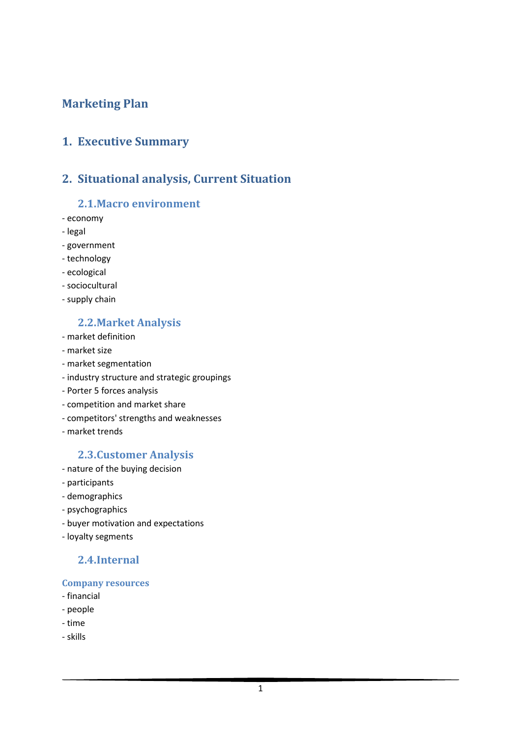## Marketing Plan

## 1. Executive Summary

## 2. Situational analysis, Current Situation

#### 2.1.Macro environment

- economy
- legal
- government
- technology
- ecological
- sociocultural
- supply chain

#### 2.2.Market Analysis

- market definition
- market size
- market segmentation
- industry structure and strategic groupings
- Porter 5 forces analysis
- competition and market share
- competitors' strengths and weaknesses
- market trends

#### 2.3.Customer Analysis

- nature of the buying decision
- participants
- demographics
- psychographics
- buyer motivation and expectations
- loyalty segments

## 2.4.Internal

#### Company resources

- financial
- people
- time
- skills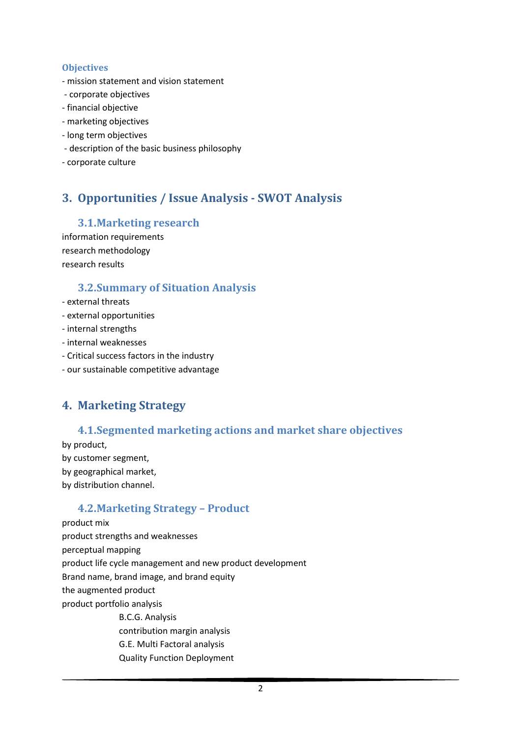#### **Objectives**

- mission statement and vision statement
- corporate objectives
- financial objective
- marketing objectives
- long term objectives
- description of the basic business philosophy
- corporate culture

# 3. Opportunities / Issue Analysis - SWOT Analysis

### 3.1.Marketing research

information requirements research methodology research results

### 3.2.Summary of Situation Analysis

- external threats
- external opportunities
- internal strengths
- internal weaknesses
- Critical success factors in the industry
- our sustainable competitive advantage

# 4. Marketing Strategy

#### 4.1.Segmented marketing actions and market share objectives

by product, by customer segment, by geographical market, by distribution channel.

## 4.2.Marketing Strategy – Product

product mix product strengths and weaknesses perceptual mapping product life cycle management and new product development Brand name, brand image, and brand equity the augmented product product portfolio analysis B.C.G. Analysis contribution margin analysis G.E. Multi Factoral analysis Quality Function Deployment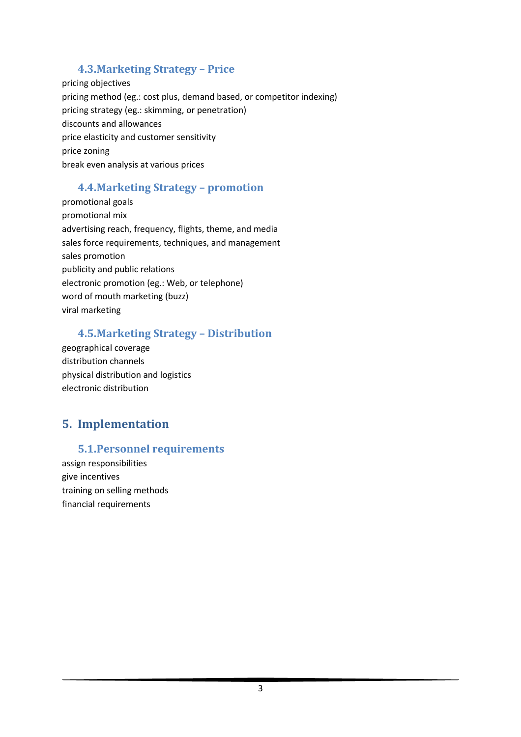## 4.3.Marketing Strategy – Price

pricing objectives pricing method (eg.: cost plus, demand based, or competitor indexing) pricing strategy (eg.: skimming, or penetration) discounts and allowances price elasticity and customer sensitivity price zoning break even analysis at various prices

## 4.4.Marketing Strategy – promotion

promotional goals promotional mix advertising reach, frequency, flights, theme, and media sales force requirements, techniques, and management sales promotion publicity and public relations electronic promotion (eg.: Web, or telephone) word of mouth marketing (buzz) viral marketing

## 4.5.Marketing Strategy – Distribution

geographical coverage distribution channels physical distribution and logistics electronic distribution

# 5. Implementation

## 5.1.Personnel requirements

assign responsibilities give incentives training on selling methods financial requirements